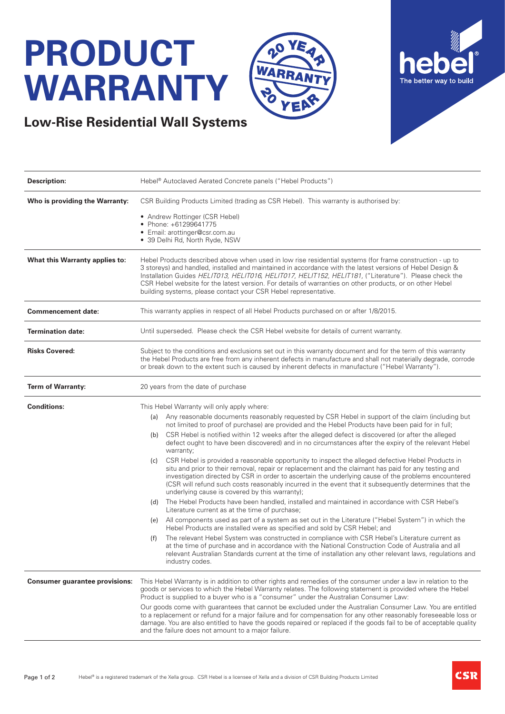## **PRODUCT WARRANTY**





| <b>Description:</b>                   | Hebel <sup>®</sup> Autoclaved Aerated Concrete panels ("Hebel Products")                                                                                                                                                                                                                                                                                                                                                                                                                                       |
|---------------------------------------|----------------------------------------------------------------------------------------------------------------------------------------------------------------------------------------------------------------------------------------------------------------------------------------------------------------------------------------------------------------------------------------------------------------------------------------------------------------------------------------------------------------|
| Who is providing the Warranty:        | CSR Building Products Limited (trading as CSR Hebel). This warranty is authorised by:                                                                                                                                                                                                                                                                                                                                                                                                                          |
|                                       | • Andrew Rottinger (CSR Hebel)<br>• Phone: +61299641775<br>• Email: arottinger@csr.com.au<br>· 39 Delhi Rd, North Ryde, NSW                                                                                                                                                                                                                                                                                                                                                                                    |
| What this Warranty applies to:        | Hebel Products described above when used in low rise residential systems (for frame construction - up to<br>3 storeys) and handled, installed and maintained in accordance with the latest versions of Hebel Design &<br>Installation Guides HELIT013, HELIT016, HELIT017, HELIT152, HELIT181, ("Literature"). Please check the<br>CSR Hebel website for the latest version. For details of warranties on other products, or on other Hebel<br>building systems, please contact your CSR Hebel representative. |
| <b>Commencement date:</b>             | This warranty applies in respect of all Hebel Products purchased on or after 1/8/2015.                                                                                                                                                                                                                                                                                                                                                                                                                         |
| <b>Termination date:</b>              | Until superseded. Please check the CSR Hebel website for details of current warranty.                                                                                                                                                                                                                                                                                                                                                                                                                          |
| <b>Risks Covered:</b>                 | Subject to the conditions and exclusions set out in this warranty document and for the term of this warranty<br>the Hebel Products are free from any inherent defects in manufacture and shall not materially degrade, corrode<br>or break down to the extent such is caused by inherent defects in manufacture ("Hebel Warranty").                                                                                                                                                                            |
| <b>Term of Warranty:</b>              | 20 years from the date of purchase                                                                                                                                                                                                                                                                                                                                                                                                                                                                             |
| <b>Conditions:</b>                    | This Hebel Warranty will only apply where:                                                                                                                                                                                                                                                                                                                                                                                                                                                                     |
|                                       | Any reasonable documents reasonably requested by CSR Hebel in support of the claim (including but<br>(a)<br>not limited to proof of purchase) are provided and the Hebel Products have been paid for in full;                                                                                                                                                                                                                                                                                                  |
|                                       | CSR Hebel is notified within 12 weeks after the alleged defect is discovered (or after the alleged<br>(b)<br>defect ought to have been discovered) and in no circumstances after the expiry of the relevant Hebel<br>warranty;                                                                                                                                                                                                                                                                                 |
|                                       | CSR Hebel is provided a reasonable opportunity to inspect the alleged defective Hebel Products in<br>(c)<br>situ and prior to their removal, repair or replacement and the claimant has paid for any testing and<br>investigation directed by CSR in order to ascertain the underlying cause of the problems encountered<br>(CSR will refund such costs reasonably incurred in the event that it subsequently determines that the<br>underlying cause is covered by this warranty);                            |
|                                       | The Hebel Products have been handled, installed and maintained in accordance with CSR Hebel's<br>(d)<br>Literature current as at the time of purchase;                                                                                                                                                                                                                                                                                                                                                         |
|                                       | (e) All components used as part of a system as set out in the Literature ("Hebel System") in which the<br>Hebel Products are installed were as specified and sold by CSR Hebel; and                                                                                                                                                                                                                                                                                                                            |
|                                       | The relevant Hebel System was constructed in compliance with CSR Hebel's Literature current as<br>(f)<br>at the time of purchase and in accordance with the National Construction Code of Australia and all<br>relevant Australian Standards current at the time of installation any other relevant laws, regulations and<br>industry codes.                                                                                                                                                                   |
| <b>Consumer guarantee provisions:</b> | This Hebel Warranty is in addition to other rights and remedies of the consumer under a law in relation to the<br>goods or services to which the Hebel Warranty relates. The following statement is provided where the Hebel<br>Product is supplied to a buyer who is a "consumer" under the Australian Consumer Law:                                                                                                                                                                                          |
|                                       | Our goods come with guarantees that cannot be excluded under the Australian Consumer Law. You are entitled<br>to a replacement or refund for a major failure and for compensation for any other reasonably foreseeable loss or<br>damage. You are also entitled to have the goods repaired or replaced if the goods fail to be of acceptable quality<br>and the failure does not amount to a major failure.                                                                                                    |

20

WAR

YF